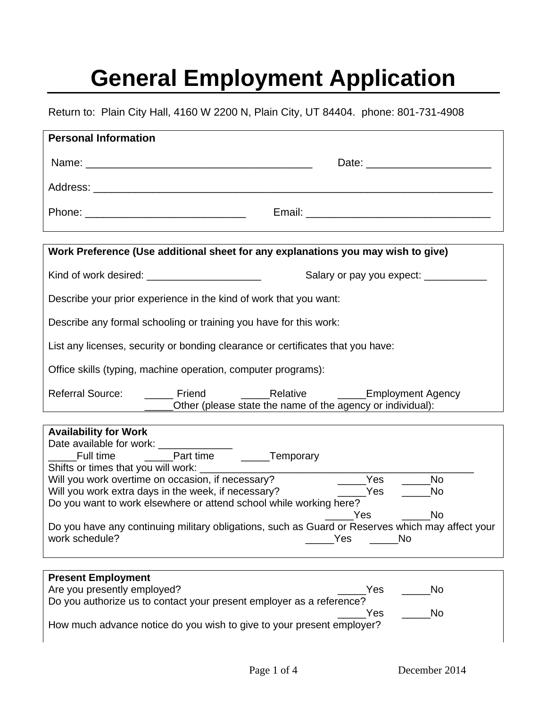## **General Employment Application**

Return to: Plain City Hall, 4160 W 2200 N, Plain City, UT 84404. phone: 801-731-4908

| <b>Personal Information</b>                                                                                                                                                                                                                                 |                                                                                                                                        |  |
|-------------------------------------------------------------------------------------------------------------------------------------------------------------------------------------------------------------------------------------------------------------|----------------------------------------------------------------------------------------------------------------------------------------|--|
|                                                                                                                                                                                                                                                             |                                                                                                                                        |  |
|                                                                                                                                                                                                                                                             |                                                                                                                                        |  |
|                                                                                                                                                                                                                                                             |                                                                                                                                        |  |
|                                                                                                                                                                                                                                                             | Work Preference (Use additional sheet for any explanations you may wish to give)                                                       |  |
|                                                                                                                                                                                                                                                             | Salary or pay you expect: ____________                                                                                                 |  |
| Describe your prior experience in the kind of work that you want:                                                                                                                                                                                           |                                                                                                                                        |  |
| Describe any formal schooling or training you have for this work:                                                                                                                                                                                           |                                                                                                                                        |  |
| List any licenses, security or bonding clearance or certificates that you have:                                                                                                                                                                             |                                                                                                                                        |  |
| Office skills (typing, machine operation, computer programs):                                                                                                                                                                                               |                                                                                                                                        |  |
| <b>Referral Source:</b>                                                                                                                                                                                                                                     | ______ Friend ____________Relative ______________Employment Agency<br>______Other (please state the name of the agency or individual): |  |
| <b>Availability for Work</b>                                                                                                                                                                                                                                |                                                                                                                                        |  |
| Shifts or times that you will work: _____                                                                                                                                                                                                                   |                                                                                                                                        |  |
| Will you work overtime on occasion, if necessary?<br>Will you work extra days in the week, if necessary?                                                                                                                                                    | $\rule{1em}{0.15mm}$ Yes<br><b>No</b><br>$\rule{1em}{0.15mm}$ $\text{Yes}$<br><b>No</b>                                                |  |
| Do you want to work elsewhere or attend school while working here?                                                                                                                                                                                          |                                                                                                                                        |  |
| <b>No</b><br>Yes Yes Market Street Street Street Street Street Street Street Street Street Street Street Street S<br>Do you have any continuing military obligations, such as Guard or Reserves which may affect your<br>work schedule?<br>Yes<br><b>No</b> |                                                                                                                                        |  |
|                                                                                                                                                                                                                                                             |                                                                                                                                        |  |
| <b>Present Employment</b><br>Are you presently employed?                                                                                                                                                                                                    | Yes<br>No                                                                                                                              |  |
| Do you authorize us to contact your present employer as a reference?                                                                                                                                                                                        |                                                                                                                                        |  |
| How much advance notice do you wish to give to your present employer?                                                                                                                                                                                       | Yes<br>No                                                                                                                              |  |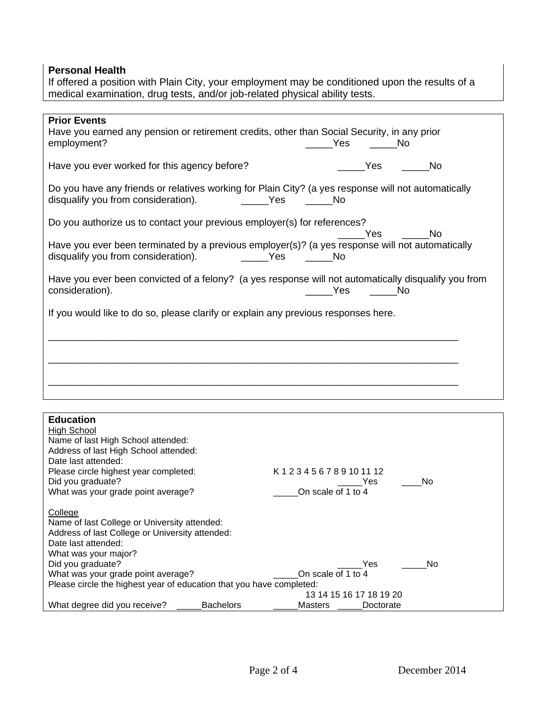## **Personal Health**

If offered a position with Plain City, your employment may be conditioned upon the results of a medical examination, drug tests, and/or job-related physical ability tests.

| <b>Prior Events</b>                                                                                 |                                                                                                      |  |
|-----------------------------------------------------------------------------------------------------|------------------------------------------------------------------------------------------------------|--|
| Have you earned any pension or retirement credits, other than Social Security, in any prior         |                                                                                                      |  |
| employment?                                                                                         | Yes<br><b>No</b>                                                                                     |  |
|                                                                                                     |                                                                                                      |  |
| Have you ever worked for this agency before?                                                        | <b>Parage Yes</b><br><b>No</b>                                                                       |  |
|                                                                                                     |                                                                                                      |  |
| Do you have any friends or relatives working for Plain City? (a yes response will not automatically |                                                                                                      |  |
| disqualify you from consideration).<br><u>na sa sa Sido a Santang Pasa</u>                          | <u>na mga No</u>                                                                                     |  |
|                                                                                                     |                                                                                                      |  |
|                                                                                                     |                                                                                                      |  |
| Do you authorize us to contact your previous employer(s) for references?                            |                                                                                                      |  |
|                                                                                                     | <b>No</b><br>Yes                                                                                     |  |
| Have you ever been terminated by a previous employer(s)? (a yes response will not automatically     |                                                                                                      |  |
| disqualify you from consideration).                                                                 |                                                                                                      |  |
|                                                                                                     |                                                                                                      |  |
|                                                                                                     | Have you ever been convicted of a felony? (a yes response will not automatically disqualify you from |  |
|                                                                                                     | <b>Sand Stringer Stringer Stringer</b>                                                               |  |
| consideration).                                                                                     |                                                                                                      |  |
|                                                                                                     |                                                                                                      |  |
| If you would like to do so, please clarify or explain any previous responses here.                  |                                                                                                      |  |
|                                                                                                     |                                                                                                      |  |
|                                                                                                     |                                                                                                      |  |
|                                                                                                     |                                                                                                      |  |
|                                                                                                     |                                                                                                      |  |
|                                                                                                     |                                                                                                      |  |
|                                                                                                     |                                                                                                      |  |
|                                                                                                     |                                                                                                      |  |
|                                                                                                     |                                                                                                      |  |
|                                                                                                     |                                                                                                      |  |
| <b>Education</b>                                                                                    |                                                                                                      |  |
|                                                                                                     |                                                                                                      |  |
| <b>High School</b>                                                                                  |                                                                                                      |  |
| Name of last High School attended:                                                                  |                                                                                                      |  |
| Address of last High School attended:                                                               |                                                                                                      |  |
| Date last attended:                                                                                 |                                                                                                      |  |
| Please circle highest year completed:                                                               | K123456789101112                                                                                     |  |
| Did you graduate?                                                                                   | No<br>Yes                                                                                            |  |
| What was your grade point average?                                                                  | On scale of 1 to 4                                                                                   |  |
|                                                                                                     |                                                                                                      |  |
| College                                                                                             |                                                                                                      |  |
| Name of last College or University attended:                                                        |                                                                                                      |  |
| Address of last College or University attended:                                                     |                                                                                                      |  |
| Date last attended:                                                                                 |                                                                                                      |  |
| What was your major?                                                                                |                                                                                                      |  |
| Did you graduate?                                                                                   | Yes<br>No                                                                                            |  |
| What was your grade point average?                                                                  | On scale of 1 to 4                                                                                   |  |
| Please circle the highest year of education that you have completed:                                |                                                                                                      |  |
| 13 14 15 16 17 18 19 20                                                                             |                                                                                                      |  |
| What degree did you receive?<br><b>Bachelors</b>                                                    | Doctorate<br>Masters                                                                                 |  |
|                                                                                                     |                                                                                                      |  |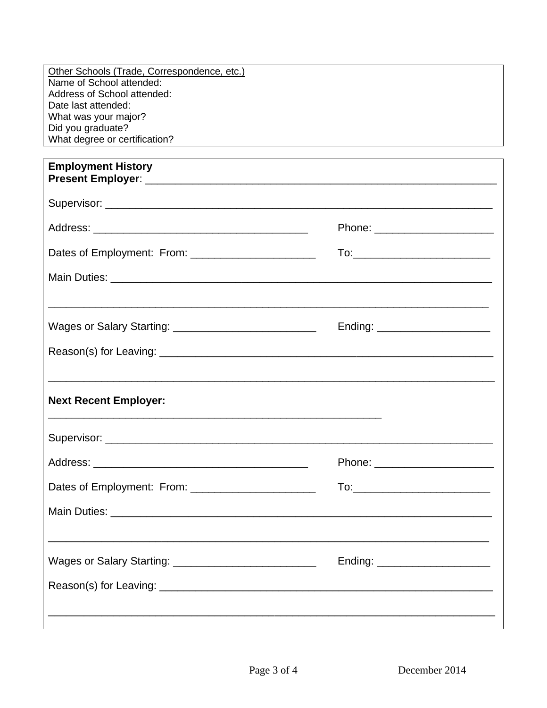| Other Schools (Trade, Correspondence, etc.)                                                                                                                                       |                                                             |  |
|-----------------------------------------------------------------------------------------------------------------------------------------------------------------------------------|-------------------------------------------------------------|--|
| Name of School attended:<br>Address of School attended:                                                                                                                           |                                                             |  |
| Date last attended:                                                                                                                                                               |                                                             |  |
| What was your major?                                                                                                                                                              |                                                             |  |
| Did you graduate?                                                                                                                                                                 |                                                             |  |
| What degree or certification?                                                                                                                                                     | <u> 1989 - Johann Stoff, Amerikaansk politiker († 1908)</u> |  |
| <b>Employment History</b>                                                                                                                                                         |                                                             |  |
|                                                                                                                                                                                   |                                                             |  |
|                                                                                                                                                                                   | Phone: _________________________                            |  |
|                                                                                                                                                                                   |                                                             |  |
|                                                                                                                                                                                   |                                                             |  |
|                                                                                                                                                                                   | Ending: ________________________                            |  |
|                                                                                                                                                                                   |                                                             |  |
| <b>Next Recent Employer:</b>                                                                                                                                                      |                                                             |  |
|                                                                                                                                                                                   |                                                             |  |
| Address:                                                                                                                                                                          | Phone:                                                      |  |
| Dates of Employment: From: __________________________                                                                                                                             | To:____________________________                             |  |
|                                                                                                                                                                                   |                                                             |  |
| <u> 1989 - John Stoff, deutscher Stoff, der Stoff, der Stoff, der Stoff, der Stoff, der Stoff, der Stoff, der Sto</u><br>Wages or Salary Starting: ______________________________ | Ending: _______________________                             |  |
|                                                                                                                                                                                   |                                                             |  |
|                                                                                                                                                                                   |                                                             |  |